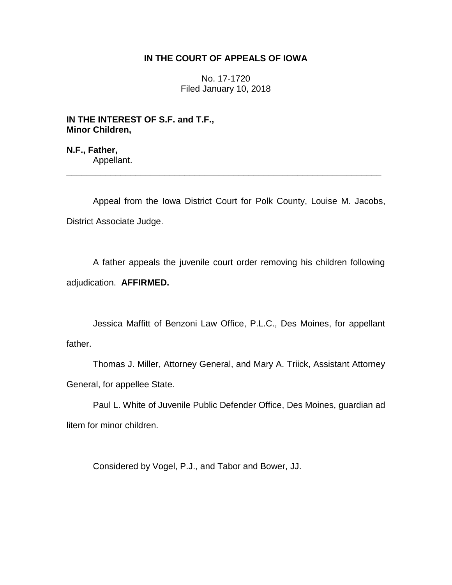# **IN THE COURT OF APPEALS OF IOWA**

No. 17-1720 Filed January 10, 2018

**IN THE INTEREST OF S.F. and T.F., Minor Children,**

**N.F., Father,** Appellant.

Appeal from the Iowa District Court for Polk County, Louise M. Jacobs, District Associate Judge.

\_\_\_\_\_\_\_\_\_\_\_\_\_\_\_\_\_\_\_\_\_\_\_\_\_\_\_\_\_\_\_\_\_\_\_\_\_\_\_\_\_\_\_\_\_\_\_\_\_\_\_\_\_\_\_\_\_\_\_\_\_\_\_\_

A father appeals the juvenile court order removing his children following adjudication. **AFFIRMED.**

Jessica Maffitt of Benzoni Law Office, P.L.C., Des Moines, for appellant father.

Thomas J. Miller, Attorney General, and Mary A. Triick, Assistant Attorney General, for appellee State.

Paul L. White of Juvenile Public Defender Office, Des Moines, guardian ad litem for minor children.

Considered by Vogel, P.J., and Tabor and Bower, JJ.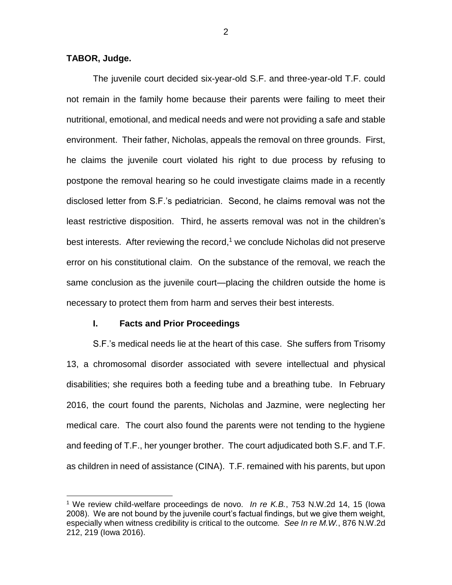# **TABOR, Judge.**

 $\overline{a}$ 

The juvenile court decided six-year-old S.F. and three-year-old T.F. could not remain in the family home because their parents were failing to meet their nutritional, emotional, and medical needs and were not providing a safe and stable environment. Their father, Nicholas, appeals the removal on three grounds. First, he claims the juvenile court violated his right to due process by refusing to postpone the removal hearing so he could investigate claims made in a recently disclosed letter from S.F.'s pediatrician. Second, he claims removal was not the least restrictive disposition. Third, he asserts removal was not in the children's best interests. After reviewing the record, <sup>1</sup> we conclude Nicholas did not preserve error on his constitutional claim. On the substance of the removal, we reach the same conclusion as the juvenile court—placing the children outside the home is necessary to protect them from harm and serves their best interests.

#### **I. Facts and Prior Proceedings**

S.F.'s medical needs lie at the heart of this case. She suffers from Trisomy 13, a chromosomal disorder associated with severe intellectual and physical disabilities; she requires both a feeding tube and a breathing tube. In February 2016, the court found the parents, Nicholas and Jazmine, were neglecting her medical care. The court also found the parents were not tending to the hygiene and feeding of T.F., her younger brother. The court adjudicated both S.F. and T.F. as children in need of assistance (CINA). T.F. remained with his parents, but upon

<sup>1</sup> We review child-welfare proceedings de novo. *In re K.B.*, 753 N.W.2d 14, 15 (Iowa 2008). We are not bound by the juvenile court's factual findings, but we give them weight, especially when witness credibility is critical to the outcome*. See In re M.W.*, 876 N.W.2d 212, 219 (Iowa 2016).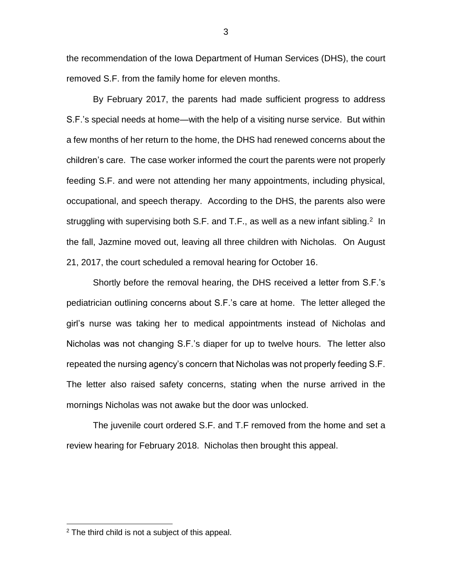the recommendation of the Iowa Department of Human Services (DHS), the court removed S.F. from the family home for eleven months.

By February 2017, the parents had made sufficient progress to address S.F.'s special needs at home—with the help of a visiting nurse service. But within a few months of her return to the home, the DHS had renewed concerns about the children's care. The case worker informed the court the parents were not properly feeding S.F. and were not attending her many appointments, including physical, occupational, and speech therapy. According to the DHS, the parents also were struggling with supervising both S.F. and T.F., as well as a new infant sibling.<sup>2</sup> In the fall, Jazmine moved out, leaving all three children with Nicholas. On August 21, 2017, the court scheduled a removal hearing for October 16.

Shortly before the removal hearing, the DHS received a letter from S.F.'s pediatrician outlining concerns about S.F.'s care at home. The letter alleged the girl's nurse was taking her to medical appointments instead of Nicholas and Nicholas was not changing S.F.'s diaper for up to twelve hours. The letter also repeated the nursing agency's concern that Nicholas was not properly feeding S.F. The letter also raised safety concerns, stating when the nurse arrived in the mornings Nicholas was not awake but the door was unlocked.

The juvenile court ordered S.F. and T.F removed from the home and set a review hearing for February 2018. Nicholas then brought this appeal.

 $\overline{a}$ 

3

 $2$  The third child is not a subject of this appeal.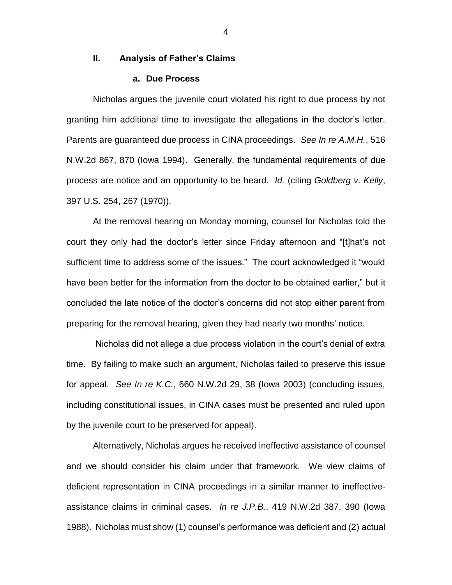## **II. Analysis of Father's Claims**

## **a. Due Process**

Nicholas argues the juvenile court violated his right to due process by not granting him additional time to investigate the allegations in the doctor's letter. Parents are guaranteed due process in CINA proceedings. *See In re A.M.H.*, 516 N.W.2d 867, 870 (Iowa 1994). Generally, the fundamental requirements of due process are notice and an opportunity to be heard. *Id.* (citing *Goldberg v. Kelly*, 397 U.S. 254, 267 (1970)).

At the removal hearing on Monday morning, counsel for Nicholas told the court they only had the doctor's letter since Friday afternoon and "[t]hat's not sufficient time to address some of the issues." The court acknowledged it "would have been better for the information from the doctor to be obtained earlier," but it concluded the late notice of the doctor's concerns did not stop either parent from preparing for the removal hearing, given they had nearly two months' notice.

Nicholas did not allege a due process violation in the court's denial of extra time. By failing to make such an argument, Nicholas failed to preserve this issue for appeal. *See In re K.C.*, 660 N.W.2d 29, 38 (Iowa 2003) (concluding issues, including constitutional issues, in CINA cases must be presented and ruled upon by the juvenile court to be preserved for appeal).

Alternatively, Nicholas argues he received ineffective assistance of counsel and we should consider his claim under that framework. We view claims of deficient representation in CINA proceedings in a similar manner to ineffectiveassistance claims in criminal cases. *In re J.P.B.*, 419 N.W.2d 387, 390 (Iowa 1988). Nicholas must show (1) counsel's performance was deficient and (2) actual

4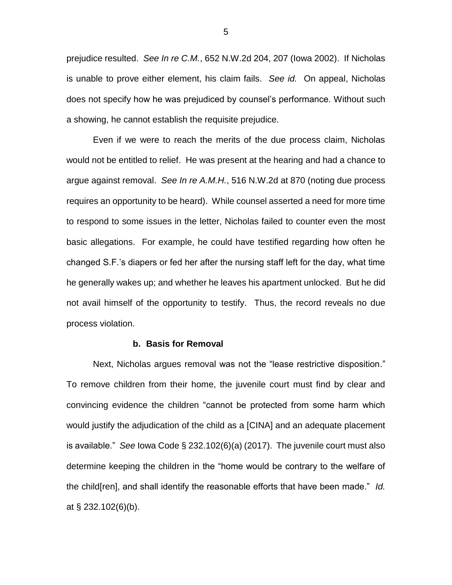prejudice resulted. *See In re C.M.*, 652 N.W.2d 204, 207 (Iowa 2002). If Nicholas is unable to prove either element, his claim fails. *See id.* On appeal, Nicholas does not specify how he was prejudiced by counsel's performance. Without such a showing, he cannot establish the requisite prejudice.

Even if we were to reach the merits of the due process claim, Nicholas would not be entitled to relief. He was present at the hearing and had a chance to argue against removal. *See In re A.M.H.*, 516 N.W.2d at 870 (noting due process requires an opportunity to be heard). While counsel asserted a need for more time to respond to some issues in the letter, Nicholas failed to counter even the most basic allegations. For example, he could have testified regarding how often he changed S.F.'s diapers or fed her after the nursing staff left for the day, what time he generally wakes up; and whether he leaves his apartment unlocked. But he did not avail himself of the opportunity to testify. Thus, the record reveals no due process violation.

#### **b. Basis for Removal**

Next, Nicholas argues removal was not the "lease restrictive disposition." To remove children from their home, the juvenile court must find by clear and convincing evidence the children "cannot be protected from some harm which would justify the adjudication of the child as a [CINA] and an adequate placement is available." *See* Iowa Code § 232.102(6)(a) (2017). The juvenile court must also determine keeping the children in the "home would be contrary to the welfare of the child[ren], and shall identify the reasonable efforts that have been made." *Id.*  at § 232.102(6)(b).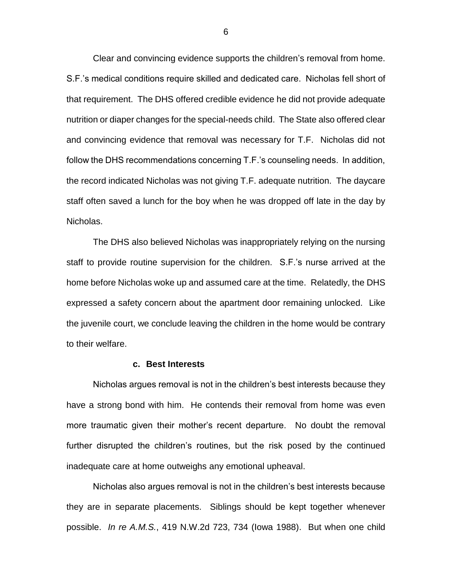Clear and convincing evidence supports the children's removal from home. S.F.'s medical conditions require skilled and dedicated care. Nicholas fell short of that requirement. The DHS offered credible evidence he did not provide adequate nutrition or diaper changes for the special-needs child. The State also offered clear and convincing evidence that removal was necessary for T.F. Nicholas did not follow the DHS recommendations concerning T.F.'s counseling needs. In addition, the record indicated Nicholas was not giving T.F. adequate nutrition. The daycare staff often saved a lunch for the boy when he was dropped off late in the day by Nicholas.

The DHS also believed Nicholas was inappropriately relying on the nursing staff to provide routine supervision for the children. S.F.'s nurse arrived at the home before Nicholas woke up and assumed care at the time. Relatedly, the DHS expressed a safety concern about the apartment door remaining unlocked. Like the juvenile court, we conclude leaving the children in the home would be contrary to their welfare.

#### **c. Best Interests**

Nicholas argues removal is not in the children's best interests because they have a strong bond with him. He contends their removal from home was even more traumatic given their mother's recent departure. No doubt the removal further disrupted the children's routines, but the risk posed by the continued inadequate care at home outweighs any emotional upheaval.

Nicholas also argues removal is not in the children's best interests because they are in separate placements. Siblings should be kept together whenever possible. *In re A.M.S.*, 419 N.W.2d 723, 734 (Iowa 1988). But when one child